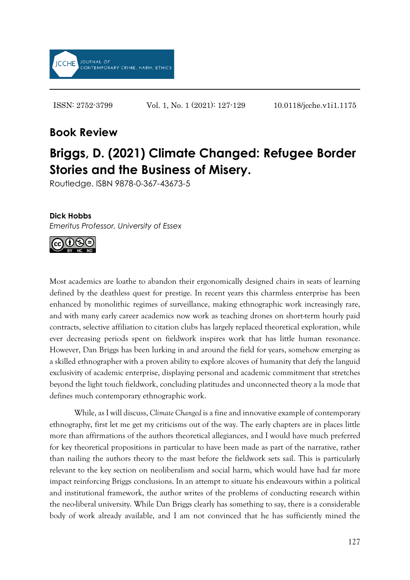

ISSN: 2752-3799 Vol. 1, No. 1 (2021): 127-129 10.0118/jcche.v1i1.1175

## **Book Review**

## **Briggs, D. (2021) Climate Changed: Refugee Border Stories and the Business of Misery.**

Routledge. ISBN 9878-0-367-43673-5

## **Dick Hobbs**

*Emeritus Professor, University of Essex* 



Most academics are loathe to abandon their ergonomically designed chairs in seats of learning defined by the deathless quest for prestige. In recent years this charmless enterprise has been enhanced by monolithic regimes of surveillance, making ethnographic work increasingly rare, and with many early career academics now work as teaching drones on short-term hourly paid contracts, selective affiliation to citation clubs has largely replaced theoretical exploration, while ever decreasing periods spent on fieldwork inspires work that has little human resonance. However, Dan Briggs has been lurking in and around the field for years, somehow emerging as a skilled ethnographer with a proven ability to explore alcoves of humanity that defy the languid exclusivity of academic enterprise, displaying personal and academic commitment that stretches beyond the light touch fieldwork, concluding platitudes and unconnected theory a la mode that defines much contemporary ethnographic work.

While, as I will discuss, *[Climate Changed](https://pure.southwales.ac.uk/en/publications/book-review-of-briggs-d-2021-climate-changed-refugee-border-stories-and-the-business-of-misery-routledge-isbn-98780367436735(3a700653-48da-41a1-9fbc-3fe90c66ad5c).html)* is a fine and innovative example of contemporary ethnography, first let me get my criticisms out of the way. The early chapters are in places little more than affirmations of the authors theoretical allegiances, and I would have much preferred for key theoretical propositions in particular to have been made as part of the narrative, rather than nailing the authors theory to the mast before the fieldwork sets sail. This is particularly relevant to the key section on neoliberalism and social harm, which would have had far more impact reinforcing Briggs conclusions. In an attempt to situate his endeavours within a political and institutional framework, the author writes of the problems of conducting research within the neo-liberal university. While Dan Briggs clearly has something to say, there is a considerable body of work already available, and I am not convinced that he has sufficiently mined the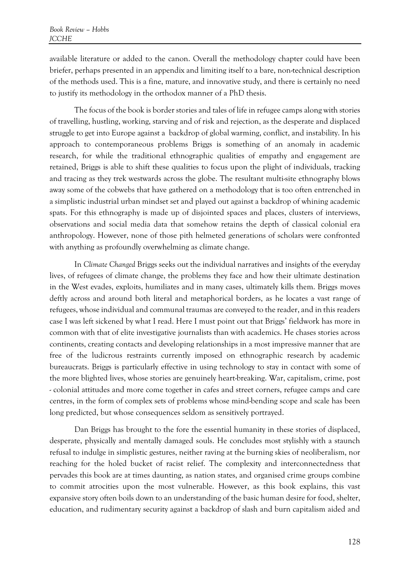available literature or added to the canon. Overall the methodology chapter could have been briefer, perhaps presented in an appendix and limiting itself to a bare, non-technical description of the methods used. This is a fine, mature, and innovative study, and there is certainly no need to justify its methodology in the orthodox manner of a PhD thesis.

The focus of the book is border stories and tales of life in refugee camps along with stories of travelling, hustling, working, starving and of risk and rejection, as the desperate and displaced struggle to get into Europe against a backdrop of global warming, conflict, and instability. In his approach to contemporaneous problems Briggs is something of an anomaly in academic research, for while the traditional ethnographic qualities of empathy and engagement are retained, Briggs is able to shift these qualities to focus upon the plight of individuals, tracking and tracing as they trek westwards across the globe. The resultant multi-site ethnography blows away some of the cobwebs that have gathered on a methodology that is too often entrenched in a simplistic industrial urban mindset set and played out against a backdrop of whining academic spats. For this ethnography is made up of disjointed spaces and places, clusters of interviews, observations and social media data that somehow retains the depth of classical colonial era anthropology. However, none of those pith helmeted generations of scholars were confronted with anything as profoundly overwhelming as climate change.

In *Climate Changed* Briggs seeks out the individual narratives and insights of the everyday lives, of refugees of climate change, the problems they face and how their ultimate destination in the West evades, exploits, humiliates and in many cases, ultimately kills them. Briggs moves deftly across and around both literal and metaphorical borders, as he locates a vast range of refugees, whose individual and communal traumas are conveyed to the reader, and in this readers case I was left sickened by what I read. Here I must point out that Briggs' fieldwork has more in common with that of elite investigative journalists than with academics. He chases stories across continents, creating contacts and developing relationships in a most impressive manner that are free of the ludicrous restraints currently imposed on ethnographic research by academic bureaucrats. Briggs is particularly effective in using technology to stay in contact with some of the more blighted lives, whose stories are genuinely heart-breaking. War, capitalism, crime, post - colonial attitudes and more come together in cafes and street corners, refugee camps and care centres, in the form of complex sets of problems whose mind-bending scope and scale has been long predicted, but whose consequences seldom as sensitively portrayed.

Dan Briggs has brought to the fore the essential humanity in these stories of displaced, desperate, physically and mentally damaged souls. He concludes most stylishly with a staunch refusal to indulge in simplistic gestures, neither raving at the burning skies of neoliberalism, nor reaching for the holed bucket of racist relief. The complexity and interconnectedness that pervades this book are at times daunting, as nation states, and organised crime groups combine to commit atrocities upon the most vulnerable. However, as this book explains, this vast expansive story often boils down to an understanding of the basic human desire for food, shelter, education, and rudimentary security against a backdrop of slash and burn capitalism aided and